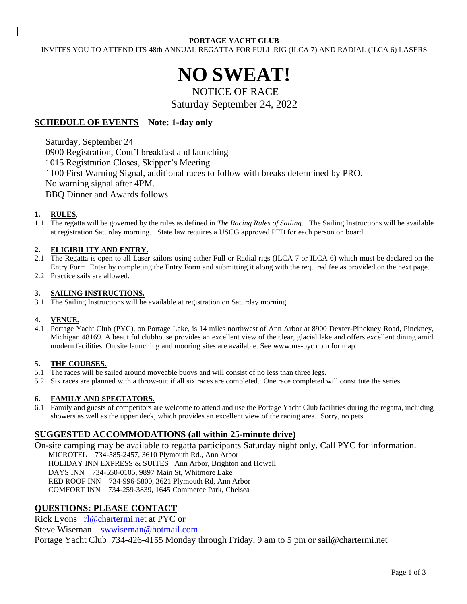#### **PORTAGE YACHT CLUB**

INVITES YOU TO ATTEND ITS 48th ANNUAL REGATTA FOR FULL RIG (ILCA 7) AND RADIAL (ILCA 6) LASERS

# **NO SWEAT!**

## NOTICE OF RACE Saturday September 24, 2022

## **SCHEDULE OF EVENTS** Note: 1-day only

Saturday, September 24 0900 Registration, Cont'l breakfast and launching 1015 Registration Closes, Skipper's Meeting 1100 First Warning Signal, additional races to follow with breaks determined by PRO. No warning signal after 4PM. BBQ Dinner and Awards follows

#### **1. RULES**,

1.1 The regatta will be governed by the rules as defined in *The Racing Rules of Sailing*. The Sailing Instructions will be available at registration Saturday morning. State law requires a USCG approved PFD for each person on board.

#### **2. ELIGIBILITY AND ENTRY.**

- 2.1 The Regatta is open to all Laser sailors using either Full or Radial rigs (ILCA 7 or ILCA 6) which must be declared on the Entry Form. Enter by completing the Entry Form and submitting it along with the required fee as provided on the next page.
- 2.2 Practice sails are allowed.

#### **3. SAILING INSTRUCTIONS.**

3.1 The Sailing Instructions will be available at registration on Saturday morning.

#### **4. VENUE.**

4.1 Portage Yacht Club (PYC), on Portage Lake, is 14 miles northwest of Ann Arbor at 8900 Dexter-Pinckney Road, Pinckney, Michigan 48169. A beautiful clubhouse provides an excellent view of the clear, glacial lake and offers excellent dining amid modern facilities. On site launching and mooring sites are available. See [www.ms-pyc.com](http://www.ms-pyc.com/) for map.

#### **5. THE COURSES.**

- 5.1 The races will be sailed around moveable buoys and will consist of no less than three legs.
- 5.2 Six races are planned with a throw-out if all six races are completed. One race completed will constitute the series.

#### **6. FAMILY AND SPECTATORS.**

6.1 Family and guests of competitors are welcome to attend and use the Portage Yacht Club facilities during the regatta, including showers as well as the upper deck, which provides an excellent view of the racing area. Sorry, no pets.

## **SUGGESTED ACCOMMODATIONS (all within 25-minute drive)**

On-site camping may be available to regatta participants Saturday night only. Call PYC for information. MICROTEL – 734-585-2457, 3610 Plymouth Rd., Ann Arbor HOLIDAY INN EXPRESS & SUITES– Ann Arbor, Brighton and Howell DAYS INN – 734-550-0105, 9897 Main St, Whitmore Lake RED ROOF INN – 734-996-5800, 3621 Plymouth Rd, Ann Arbor COMFORT INN – 734-259-3839, 1645 Commerce Park, Chelsea

## **QUESTIONS: PLEASE CONTACT**

Rick Lyons [rl@chartermi.net](mailto:rlyons@charter.net) at PYC or Steve Wiseman [swwiseman@hotmail.com](mailto:swwiseman@hotmail.com) Portage Yacht Club 734-426-4155 Monday through Friday, 9 am to 5 pm or sail@chartermi.net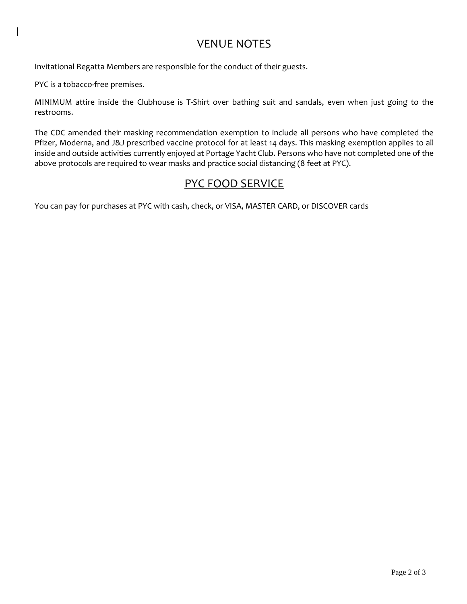# VENUE NOTES

Invitational Regatta Members are responsible for the conduct of their guests.

PYC is a tobacco-free premises.

MINIMUM attire inside the Clubhouse is T-Shirt over bathing suit and sandals, even when just going to the restrooms.

The CDC amended their masking recommendation exemption to include all persons who have completed the Pfizer, Moderna, and J&J prescribed vaccine protocol for at least 14 days. This masking exemption applies to all inside and outside activities currently enjoyed at Portage Yacht Club. Persons who have not completed one of the above protocols are required to wear masks and practice social distancing (8 feet at PYC).

# PYC FOOD SERVICE

You can pay for purchases at PYC with cash, check, or VISA, MASTER CARD, or DISCOVER cards